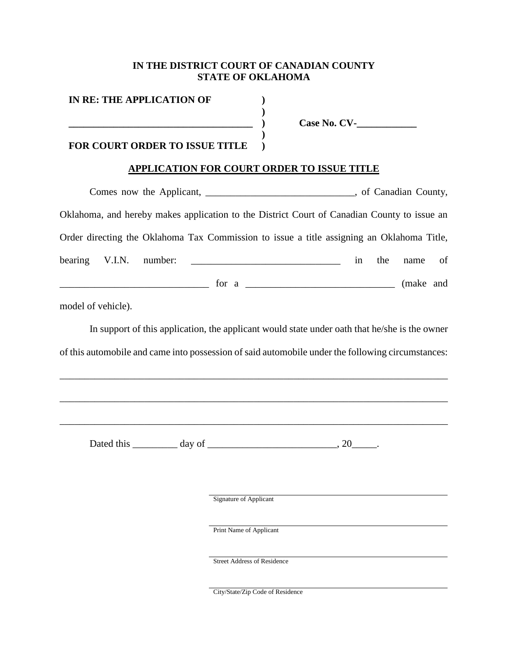### **IN THE DISTRICT COURT OF CANADIAN COUNTY STATE OF OKLAHOMA**

**IN RE: THE APPLICATION OF \_\_\_\_\_\_\_\_\_\_\_\_\_\_\_\_\_\_\_\_\_\_\_\_\_\_\_\_\_\_\_\_\_\_\_\_\_ ) ) ) ) )**

**Case No. CV-\_\_\_\_\_\_\_\_\_\_\_\_**

## **FOR COURT ORDER TO ISSUE TITLE**

# **APPLICATION FOR COURT ORDER TO ISSUE TITLE**

| Comes now the Applicant, _________________________________, of Canadian County,                                                                                                                                                                                                                                                                                                                           |    |     |         |  |
|-----------------------------------------------------------------------------------------------------------------------------------------------------------------------------------------------------------------------------------------------------------------------------------------------------------------------------------------------------------------------------------------------------------|----|-----|---------|--|
| Oklahoma, and hereby makes application to the District Court of Canadian County to issue an                                                                                                                                                                                                                                                                                                               |    |     |         |  |
| Order directing the Oklahoma Tax Commission to issue a title assigning an Oklahoma Title,                                                                                                                                                                                                                                                                                                                 |    |     |         |  |
| bearing V.I.N. number: $\frac{1}{\sqrt{1-\frac{1}{2}}}\left\{ \frac{1}{2}, \frac{1}{2}, \frac{1}{2}, \frac{1}{2}, \frac{1}{2}, \frac{1}{2}, \frac{1}{2}, \frac{1}{2}, \frac{1}{2}, \frac{1}{2}, \frac{1}{2}, \frac{1}{2}, \frac{1}{2}, \frac{1}{2}, \frac{1}{2}, \frac{1}{2}, \frac{1}{2}, \frac{1}{2}, \frac{1}{2}, \frac{1}{2}, \frac{1}{2}, \frac{1}{2}, \frac{1}{2}, \frac{1}{2}, \frac{1}{2}, \frac$ | in | the | name of |  |
| contract to the contract of the contract of the contract of the contract of the contract of the contract of the contract of the contract of the contract of the contract of the contract of the contract of the contract of th                                                                                                                                                                            |    |     |         |  |
| model of vehicle).                                                                                                                                                                                                                                                                                                                                                                                        |    |     |         |  |
| In support of this application, the applicant would state under oath that he/she is the owner                                                                                                                                                                                                                                                                                                             |    |     |         |  |
| of this automobile and came into possession of said automobile under the following circumstances:                                                                                                                                                                                                                                                                                                         |    |     |         |  |
|                                                                                                                                                                                                                                                                                                                                                                                                           |    |     |         |  |
|                                                                                                                                                                                                                                                                                                                                                                                                           |    |     |         |  |
|                                                                                                                                                                                                                                                                                                                                                                                                           |    |     |         |  |
| Dated this $\_\_\_\_\_$ day of $\_\_\_\_\_\_\_$ . 20 $\_\_\_\_\_$ .                                                                                                                                                                                                                                                                                                                                       |    |     |         |  |

Signature of Applicant

Print Name of Applicant

Street Address of Residence

City/State/Zip Code of Residence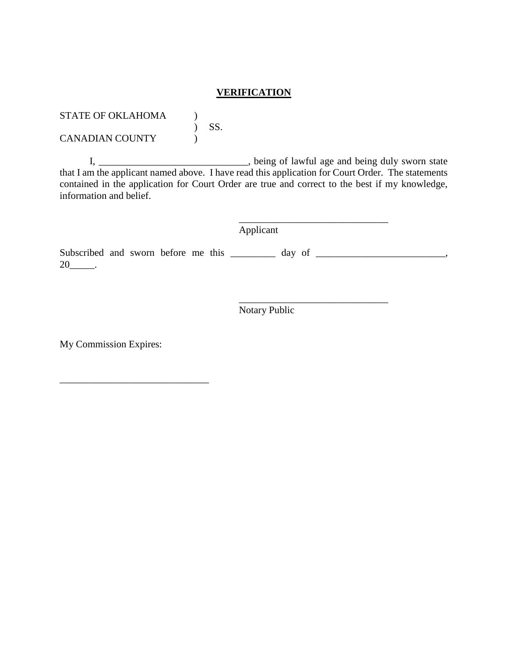### **VERIFICATION**

STATE OF OKLAHOMA )  $\left( \begin{array}{cc} 0 & \text{SS} \end{array} \right)$ 

CANADIAN COUNTY

I, \_\_\_\_\_\_\_\_\_\_\_\_\_\_\_\_\_\_\_\_\_\_\_\_\_\_\_\_\_\_\_, being of lawful age and being duly sworn state that I am the applicant named above. I have read this application for Court Order. The statements contained in the application for Court Order are true and correct to the best if my knowledge, information and belief.

Applicant

\_\_\_\_\_\_\_\_\_\_\_\_\_\_\_\_\_\_\_\_\_\_\_\_\_\_\_\_\_\_

\_\_\_\_\_\_\_\_\_\_\_\_\_\_\_\_\_\_\_\_\_\_\_\_\_\_\_\_\_\_

Subscribed and sworn before me this \_\_\_\_\_\_\_ day of \_\_\_\_\_\_\_\_\_\_\_\_\_\_\_\_\_\_\_\_\_\_,  $20$ \_\_\_\_\_\_.

Notary Public

My Commission Expires:

\_\_\_\_\_\_\_\_\_\_\_\_\_\_\_\_\_\_\_\_\_\_\_\_\_\_\_\_\_\_